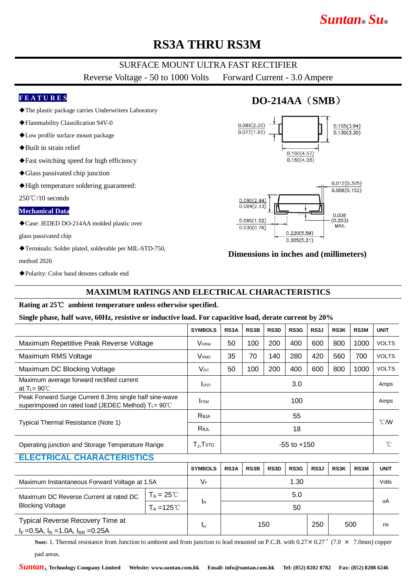# *Suntan***®** *Su***®**

## **RS3A THRU RS3M**

### SURFACE MOUNT ULTRA FAST RECTIFIER

Reverse Voltage - 50 to 1000 Volts Forward Current - 3.0 Ampere

#### **F E A T U R E S**

- ◆The plastic package carries Underwriters Laboratory
- ◆Flammability Classification 94V-0
- ◆Low profile surface mount package
- ◆Built in strain relief
- ◆Fast switching speed for high efficiency
- ◆Glass passivated chip junction
- ◆High temperature soldering guaranteed:

250℃/10 seconds

#### **Mechanical Data**

◆Case: JEDED DO-214AA molded plastic over

glass passivated chip

◆Terminals: Solder plated, solderable per MIL-STD-750, method 2026

#### ◆Polarity: Color band denotes cathode end

### **MAXIMUM RATINGS AND ELECTRICAL CHARACTERISTICS**

#### **Rating at 25**℃ **ambient temperature unless otherwise specified.**

#### **Single phase, half wave, 60Hz, resistive or inductive load. For capacitive load, derate current by 20%**

|                                                                                                              |                      | <b>SYMBOLS</b>          | RS3A              | RS3B | RS3D              | RS3G | RS3J | RS3K | RS3M | <b>UNIT</b>    |
|--------------------------------------------------------------------------------------------------------------|----------------------|-------------------------|-------------------|------|-------------------|------|------|------|------|----------------|
| Maximum Repetitive Peak Reverse Voltage                                                                      |                      | <b>V</b> <sub>RRM</sub> | 50                | 100  | 200               | 400  | 600  | 800  | 1000 | <b>VOLTS</b>   |
| Maximum RMS Voltage                                                                                          |                      | <b>V</b> <sub>RMS</sub> | 35                | 70   | 140               | 280  | 420  | 560  | 700  | <b>VOLTS</b>   |
| Maximum DC Blocking Voltage                                                                                  |                      | $V_{DC}$                | 50                | 100  | 200               | 400  | 600  | 800  | 1000 | <b>VOLTS</b>   |
| Maximum average forward rectified current<br>at T <sub>L</sub> = $90^{\circ}$ C                              |                      | I(AV)                   | 3.0               |      |                   |      |      |      |      | Amps           |
| Peak Forward Surge Current 8.3ms single half sine-wave<br>superimposed on rated load (JEDEC Method) TL= 90°C |                      | <b>FSM</b>              | 100               |      |                   |      |      |      |      | Amps           |
| Typical Thermal Resistance (Note 1)                                                                          |                      | Reja                    | 55                |      |                   |      |      |      |      | $^{\circ}$ CMV |
|                                                                                                              |                      | Rejl                    | 18                |      |                   |      |      |      |      |                |
| Operating junction and Storage Temperature Range                                                             |                      | $T_{J}$ , $T$ stg       | $-55$ to $+150$   |      |                   |      |      |      |      | $^{\circ}$ C   |
| <b>ELECTRICAL CHARACTERISTICS</b>                                                                            |                      |                         |                   |      |                   |      |      |      |      |                |
|                                                                                                              |                      | <b>SYMBOLS</b>          | RS3A              | RS3B | RS <sub>3</sub> D | RS3G | RS3J | RS3K | RS3M | <b>UNIT</b>    |
| Maximum Instantaneous Forward Voltage at 1.5A                                                                |                      | $V_F$                   | 1.30              |      |                   |      |      |      |      | Volts          |
| Maximum DC Reverse Current at rated DC<br><b>Blocking Voltage</b>                                            | $T_A = 25^{\circ}C$  |                         |                   | 5.0  |                   |      |      |      |      |                |
|                                                                                                              | $T_A = 125^{\circ}C$ | <b>I</b> R              | 50                |      |                   |      |      |      |      | uA             |
| Typical Reverse Recovery Time at<br>$I_F = 0.5A$ , $I_R = 1.0A$ , $I_{RR} = 0.25A$                           |                      | $t_{rr}$                | 250<br>500<br>150 |      |                   |      |      |      | ns   |                |

**Note:** 1. Thermal resistance from Junction to ambient and from junction to lead mounted on P.C.B. with  $0.27 \times 0.27$ <sup>"</sup> (7.0  $\times$  7.0mm) copper pad areas.

## **DO-214AA**(**SMB**)





### **Dimensions in inches and (millimeters)**